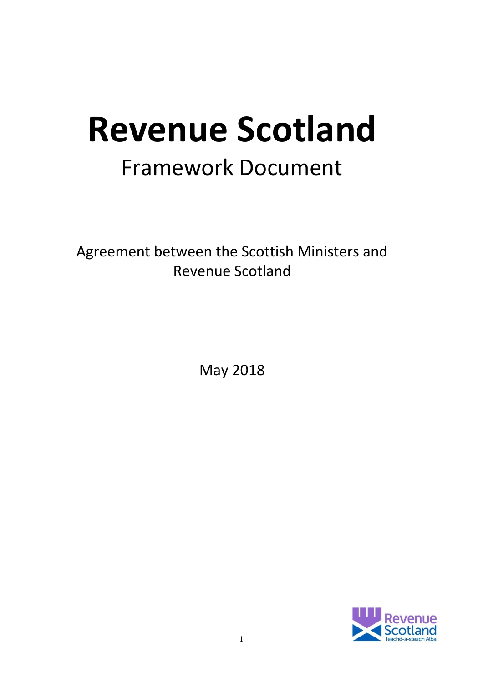# **Revenue Scotland** Framework Document

Agreement between the Scottish Ministers and Revenue Scotland

May 2018

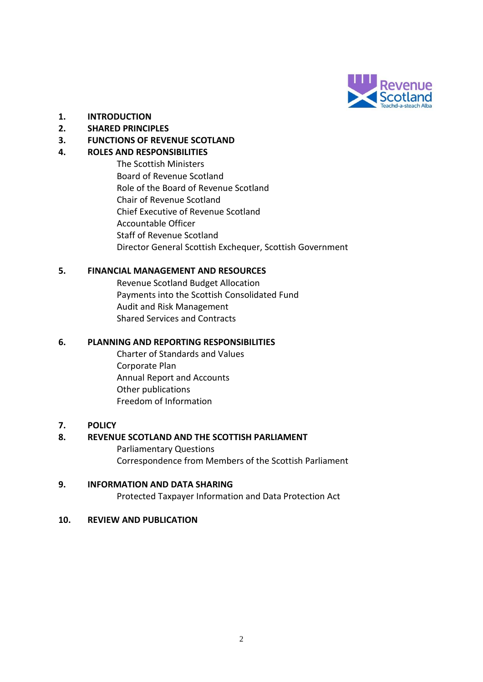

- **1. INTRODUCTION**
- **2. SHARED PRINCIPLES**
- **3. FUNCTIONS OF REVENUE SCOTLAND**

#### **4. ROLES AND RESPONSIBILITIES**

The Scottish Ministers Board of Revenue Scotland Role of the Board of Revenue Scotland Chair of Revenue Scotland Chief Executive of Revenue Scotland Accountable Officer Staff of Revenue Scotland Director General Scottish Exchequer, Scottish Government

#### **5. FINANCIAL MANAGEMENT AND RESOURCES**

Revenue Scotland Budget Allocation Payments into the Scottish Consolidated Fund Audit and Risk Management Shared Services and Contracts

#### **6. PLANNING AND REPORTING RESPONSIBILITIES**

Charter of Standards and Values Corporate Plan Annual Report and Accounts Other publications Freedom of Information

#### **7. POLICY**

#### **8. REVENUE SCOTLAND AND THE SCOTTISH PARLIAMENT**

Parliamentary Questions Correspondence from Members of the Scottish Parliament

#### **9. INFORMATION AND DATA SHARING**

Protected Taxpayer Information and Data Protection Act

#### **10. REVIEW AND PUBLICATION**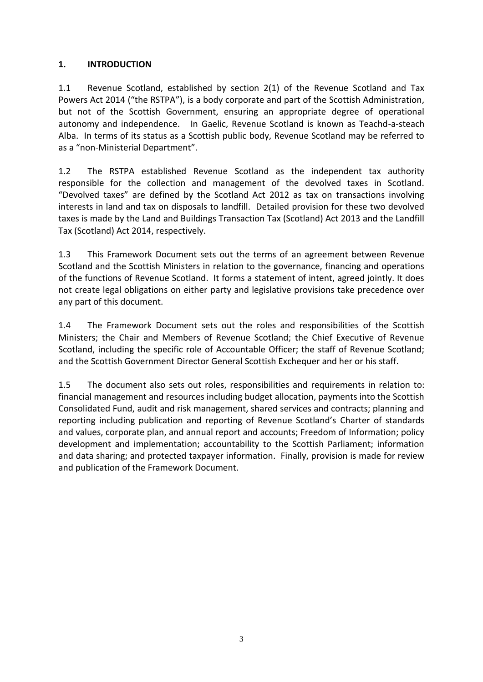## **1. INTRODUCTION**

1.1 Revenue Scotland, established by section 2(1) of the Revenue Scotland and Tax Powers Act 2014 ("the RSTPA"), is a body corporate and part of the Scottish Administration, but not of the Scottish Government, ensuring an appropriate degree of operational autonomy and independence. In Gaelic, Revenue Scotland is known as Teachd-a-steach Alba. In terms of its status as a Scottish public body, Revenue Scotland may be referred to as a "non-Ministerial Department".

1.2 The RSTPA established Revenue Scotland as the independent tax authority responsible for the collection and management of the devolved taxes in Scotland. "Devolved taxes" are defined by the Scotland Act 2012 as tax on transactions involving interests in land and tax on disposals to landfill. Detailed provision for these two devolved taxes is made by the Land and Buildings Transaction Tax (Scotland) Act 2013 and the Landfill Tax (Scotland) Act 2014, respectively.

1.3 This Framework Document sets out the terms of an agreement between Revenue Scotland and the Scottish Ministers in relation to the governance, financing and operations of the functions of Revenue Scotland. It forms a statement of intent, agreed jointly. It does not create legal obligations on either party and legislative provisions take precedence over any part of this document.

1.4 The Framework Document sets out the roles and responsibilities of the Scottish Ministers; the Chair and Members of Revenue Scotland; the Chief Executive of Revenue Scotland, including the specific role of Accountable Officer; the staff of Revenue Scotland; and the Scottish Government Director General Scottish Exchequer and her or his staff.

1.5 The document also sets out roles, responsibilities and requirements in relation to: financial management and resources including budget allocation, payments into the Scottish Consolidated Fund, audit and risk management, shared services and contracts; planning and reporting including publication and reporting of Revenue Scotland's Charter of standards and values, corporate plan, and annual report and accounts; Freedom of Information; policy development and implementation; accountability to the Scottish Parliament; information and data sharing; and protected taxpayer information. Finally, provision is made for review and publication of the Framework Document.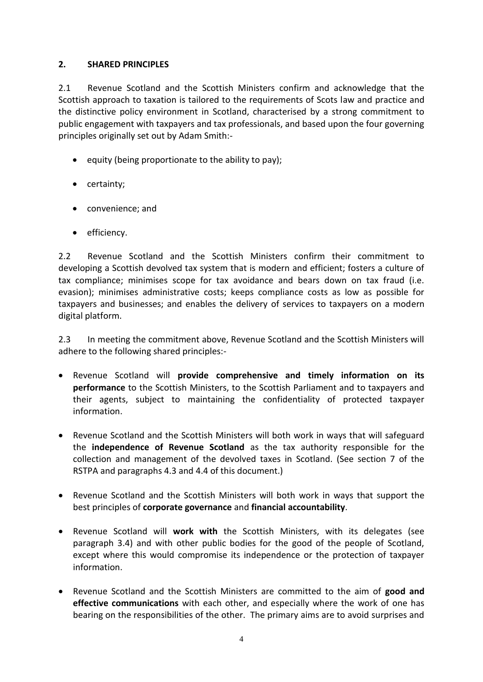#### **2. SHARED PRINCIPLES**

2.1 Revenue Scotland and the Scottish Ministers confirm and acknowledge that the Scottish approach to taxation is tailored to the requirements of Scots law and practice and the distinctive policy environment in Scotland, characterised by a strong commitment to public engagement with taxpayers and tax professionals, and based upon the four governing principles originally set out by Adam Smith:-

- equity (being proportionate to the ability to pay);
- certainty;
- convenience; and
- efficiency.

2.2 Revenue Scotland and the Scottish Ministers confirm their commitment to developing a Scottish devolved tax system that is modern and efficient; fosters a culture of tax compliance; minimises scope for tax avoidance and bears down on tax fraud (i.e. evasion); minimises administrative costs; keeps compliance costs as low as possible for taxpayers and businesses; and enables the delivery of services to taxpayers on a modern digital platform.

2.3 In meeting the commitment above, Revenue Scotland and the Scottish Ministers will adhere to the following shared principles:-

- Revenue Scotland will **provide comprehensive and timely information on its performance** to the Scottish Ministers, to the Scottish Parliament and to taxpayers and their agents, subject to maintaining the confidentiality of protected taxpayer information.
- Revenue Scotland and the Scottish Ministers will both work in ways that will safeguard the **independence of Revenue Scotland** as the tax authority responsible for the collection and management of the devolved taxes in Scotland. (See section 7 of the RSTPA and paragraphs 4.3 and 4.4 of this document.)
- Revenue Scotland and the Scottish Ministers will both work in ways that support the best principles of **corporate governance** and **financial accountability**.
- Revenue Scotland will **work with** the Scottish Ministers, with its delegates (see paragraph 3.4) and with other public bodies for the good of the people of Scotland, except where this would compromise its independence or the protection of taxpayer information.
- Revenue Scotland and the Scottish Ministers are committed to the aim of **good and effective communications** with each other, and especially where the work of one has bearing on the responsibilities of the other. The primary aims are to avoid surprises and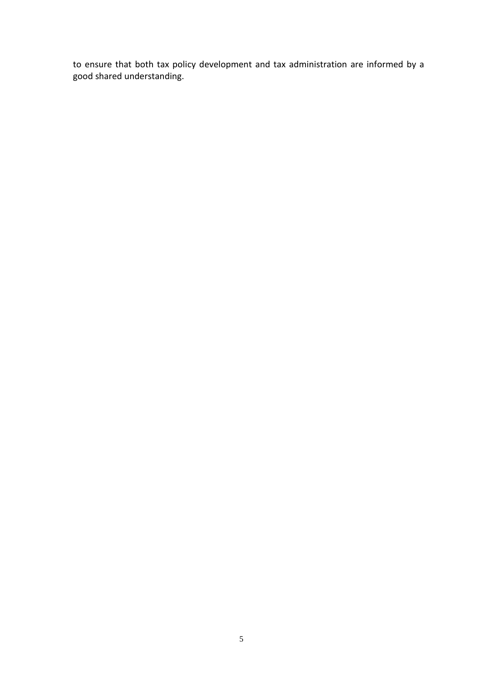to ensure that both tax policy development and tax administration are informed by a good shared understanding.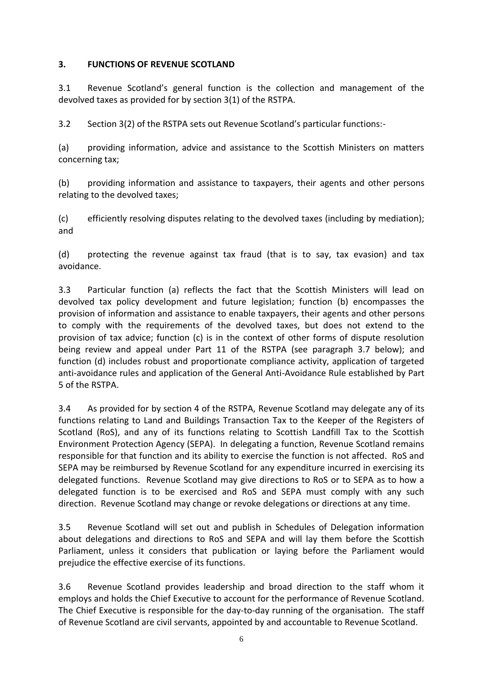## **3. FUNCTIONS OF REVENUE SCOTLAND**

3.1 Revenue Scotland's general function is the collection and management of the devolved taxes as provided for by section 3(1) of the RSTPA.

3.2 Section 3(2) of the RSTPA sets out Revenue Scotland's particular functions:-

(a) providing information, advice and assistance to the Scottish Ministers on matters concerning tax;

(b) providing information and assistance to taxpayers, their agents and other persons relating to the devolved taxes;

(c) efficiently resolving disputes relating to the devolved taxes (including by mediation); and

(d) protecting the revenue against tax fraud (that is to say, tax evasion) and tax avoidance.

3.3 Particular function (a) reflects the fact that the Scottish Ministers will lead on devolved tax policy development and future legislation; function (b) encompasses the provision of information and assistance to enable taxpayers, their agents and other persons to comply with the requirements of the devolved taxes, but does not extend to the provision of tax advice; function (c) is in the context of other forms of dispute resolution being review and appeal under Part 11 of the RSTPA (see paragraph 3.7 below); and function (d) includes robust and proportionate compliance activity, application of targeted anti-avoidance rules and application of the General Anti-Avoidance Rule established by Part 5 of the RSTPA.

3.4 As provided for by section 4 of the RSTPA, Revenue Scotland may delegate any of its functions relating to Land and Buildings Transaction Tax to the Keeper of the Registers of Scotland (RoS), and any of its functions relating to Scottish Landfill Tax to the Scottish Environment Protection Agency (SEPA). In delegating a function, Revenue Scotland remains responsible for that function and its ability to exercise the function is not affected. RoS and SEPA may be reimbursed by Revenue Scotland for any expenditure incurred in exercising its delegated functions. Revenue Scotland may give directions to RoS or to SEPA as to how a delegated function is to be exercised and RoS and SEPA must comply with any such direction. Revenue Scotland may change or revoke delegations or directions at any time.

3.5 Revenue Scotland will set out and publish in Schedules of Delegation information about delegations and directions to RoS and SEPA and will lay them before the Scottish Parliament, unless it considers that publication or laying before the Parliament would prejudice the effective exercise of its functions.

3.6 Revenue Scotland provides leadership and broad direction to the staff whom it employs and holds the Chief Executive to account for the performance of Revenue Scotland. The Chief Executive is responsible for the day-to-day running of the organisation. The staff of Revenue Scotland are civil servants, appointed by and accountable to Revenue Scotland.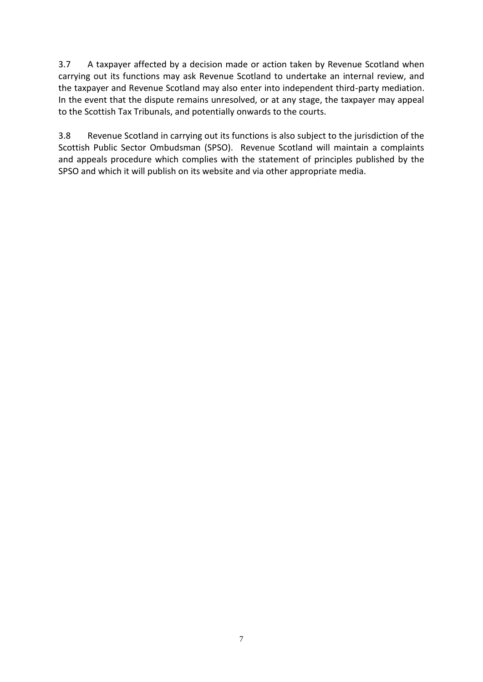3.7 A taxpayer affected by a decision made or action taken by Revenue Scotland when carrying out its functions may ask Revenue Scotland to undertake an internal review, and the taxpayer and Revenue Scotland may also enter into independent third-party mediation. In the event that the dispute remains unresolved, or at any stage, the taxpayer may appeal to the Scottish Tax Tribunals, and potentially onwards to the courts.

3.8 Revenue Scotland in carrying out its functions is also subject to the jurisdiction of the Scottish Public Sector Ombudsman (SPSO). Revenue Scotland will maintain a complaints and appeals procedure which complies with the statement of principles published by the SPSO and which it will publish on its website and via other appropriate media.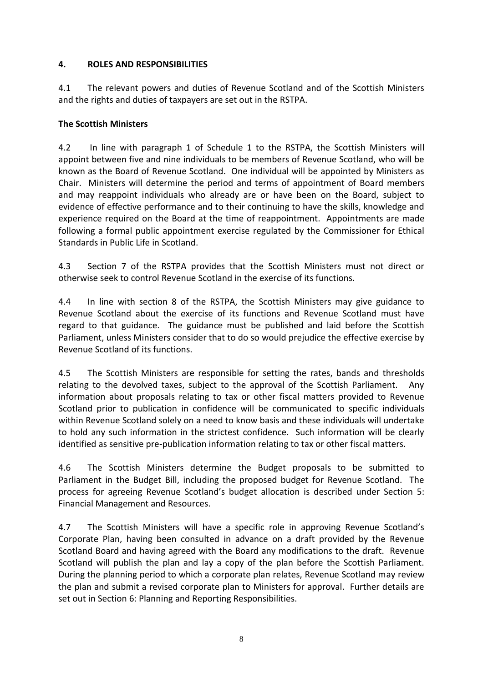## **4. ROLES AND RESPONSIBILITIES**

4.1 The relevant powers and duties of Revenue Scotland and of the Scottish Ministers and the rights and duties of taxpayers are set out in the RSTPA.

## **The Scottish Ministers**

4.2 In line with paragraph 1 of Schedule 1 to the RSTPA, the Scottish Ministers will appoint between five and nine individuals to be members of Revenue Scotland, who will be known as the Board of Revenue Scotland. One individual will be appointed by Ministers as Chair. Ministers will determine the period and terms of appointment of Board members and may reappoint individuals who already are or have been on the Board, subject to evidence of effective performance and to their continuing to have the skills, knowledge and experience required on the Board at the time of reappointment. Appointments are made following a formal public appointment exercise regulated by the Commissioner for Ethical Standards in Public Life in Scotland.

4.3 Section 7 of the RSTPA provides that the Scottish Ministers must not direct or otherwise seek to control Revenue Scotland in the exercise of its functions.

4.4 In line with section 8 of the RSTPA, the Scottish Ministers may give guidance to Revenue Scotland about the exercise of its functions and Revenue Scotland must have regard to that guidance. The guidance must be published and laid before the Scottish Parliament, unless Ministers consider that to do so would prejudice the effective exercise by Revenue Scotland of its functions.

4.5 The Scottish Ministers are responsible for setting the rates, bands and thresholds relating to the devolved taxes, subject to the approval of the Scottish Parliament. Any information about proposals relating to tax or other fiscal matters provided to Revenue Scotland prior to publication in confidence will be communicated to specific individuals within Revenue Scotland solely on a need to know basis and these individuals will undertake to hold any such information in the strictest confidence. Such information will be clearly identified as sensitive pre-publication information relating to tax or other fiscal matters.

4.6 The Scottish Ministers determine the Budget proposals to be submitted to Parliament in the Budget Bill, including the proposed budget for Revenue Scotland. The process for agreeing Revenue Scotland's budget allocation is described under Section 5: Financial Management and Resources.

4.7 The Scottish Ministers will have a specific role in approving Revenue Scotland's Corporate Plan, having been consulted in advance on a draft provided by the Revenue Scotland Board and having agreed with the Board any modifications to the draft. Revenue Scotland will publish the plan and lay a copy of the plan before the Scottish Parliament. During the planning period to which a corporate plan relates, Revenue Scotland may review the plan and submit a revised corporate plan to Ministers for approval. Further details are set out in Section 6: Planning and Reporting Responsibilities.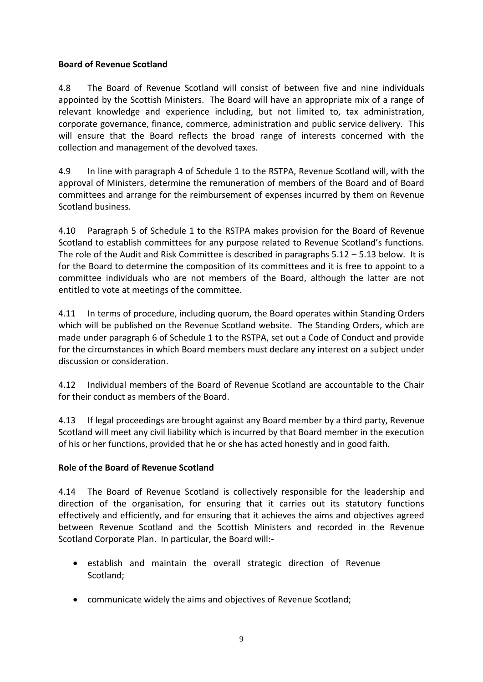## **Board of Revenue Scotland**

4.8 The Board of Revenue Scotland will consist of between five and nine individuals appointed by the Scottish Ministers. The Board will have an appropriate mix of a range of relevant knowledge and experience including, but not limited to, tax administration, corporate governance, finance, commerce, administration and public service delivery. This will ensure that the Board reflects the broad range of interests concerned with the collection and management of the devolved taxes.

4.9 In line with paragraph 4 of Schedule 1 to the RSTPA, Revenue Scotland will, with the approval of Ministers, determine the remuneration of members of the Board and of Board committees and arrange for the reimbursement of expenses incurred by them on Revenue Scotland business.

4.10 Paragraph 5 of Schedule 1 to the RSTPA makes provision for the Board of Revenue Scotland to establish committees for any purpose related to Revenue Scotland's functions. The role of the Audit and Risk Committee is described in paragraphs  $5.12 - 5.13$  below. It is for the Board to determine the composition of its committees and it is free to appoint to a committee individuals who are not members of the Board, although the latter are not entitled to vote at meetings of the committee.

4.11 In terms of procedure, including quorum, the Board operates within Standing Orders which will be published on the Revenue Scotland website. The Standing Orders, which are made under paragraph 6 of Schedule 1 to the RSTPA, set out a Code of Conduct and provide for the circumstances in which Board members must declare any interest on a subject under discussion or consideration.

4.12 Individual members of the Board of Revenue Scotland are accountable to the Chair for their conduct as members of the Board.

4.13 If legal proceedings are brought against any Board member by a third party, Revenue Scotland will meet any civil liability which is incurred by that Board member in the execution of his or her functions, provided that he or she has acted honestly and in good faith.

# **Role of the Board of Revenue Scotland**

4.14 The Board of Revenue Scotland is collectively responsible for the leadership and direction of the organisation, for ensuring that it carries out its statutory functions effectively and efficiently, and for ensuring that it achieves the aims and objectives agreed between Revenue Scotland and the Scottish Ministers and recorded in the Revenue Scotland Corporate Plan. In particular, the Board will:-

- establish and maintain the overall strategic direction of Revenue Scotland;
- communicate widely the aims and objectives of Revenue Scotland;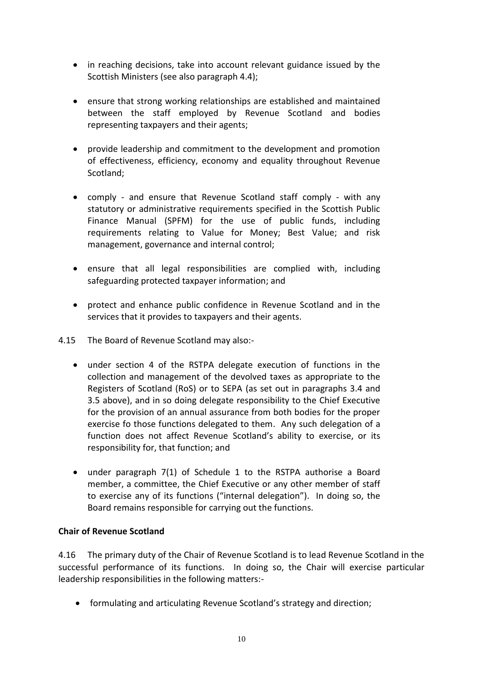- in reaching decisions, take into account relevant guidance issued by the Scottish Ministers (see also paragraph 4.4);
- ensure that strong working relationships are established and maintained between the staff employed by Revenue Scotland and bodies representing taxpayers and their agents;
- provide leadership and commitment to the development and promotion of effectiveness, efficiency, economy and equality throughout Revenue Scotland;
- comply and ensure that Revenue Scotland staff comply with any statutory or administrative requirements specified in the Scottish Public Finance Manual (SPFM) for the use of public funds, including requirements relating to Value for Money; Best Value; and risk management, governance and internal control;
- ensure that all legal responsibilities are complied with, including safeguarding protected taxpayer information; and
- protect and enhance public confidence in Revenue Scotland and in the services that it provides to taxpayers and their agents.
- 4.15 The Board of Revenue Scotland may also:
	- under section 4 of the RSTPA delegate execution of functions in the collection and management of the devolved taxes as appropriate to the Registers of Scotland (RoS) or to SEPA (as set out in paragraphs 3.4 and 3.5 above), and in so doing delegate responsibility to the Chief Executive for the provision of an annual assurance from both bodies for the proper exercise fo those functions delegated to them. Any such delegation of a function does not affect Revenue Scotland's ability to exercise, or its responsibility for, that function; and
	- under paragraph 7(1) of Schedule 1 to the RSTPA authorise a Board member, a committee, the Chief Executive or any other member of staff to exercise any of its functions ("internal delegation"). In doing so, the Board remains responsible for carrying out the functions.

#### **Chair of Revenue Scotland**

4.16 The primary duty of the Chair of Revenue Scotland is to lead Revenue Scotland in the successful performance of its functions. In doing so, the Chair will exercise particular leadership responsibilities in the following matters:-

formulating and articulating Revenue Scotland's strategy and direction;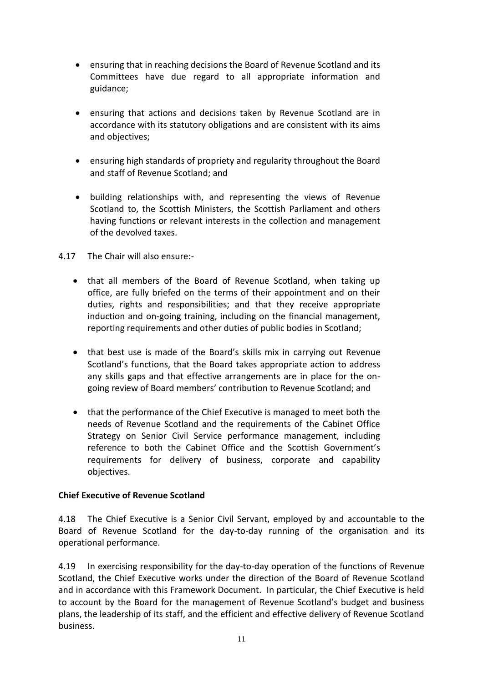- ensuring that in reaching decisions the Board of Revenue Scotland and its Committees have due regard to all appropriate information and guidance;
- ensuring that actions and decisions taken by Revenue Scotland are in accordance with its statutory obligations and are consistent with its aims and objectives;
- ensuring high standards of propriety and regularity throughout the Board and staff of Revenue Scotland; and
- building relationships with, and representing the views of Revenue Scotland to, the Scottish Ministers, the Scottish Parliament and others having functions or relevant interests in the collection and management of the devolved taxes.
- 4.17 The Chair will also ensure:
	- that all members of the Board of Revenue Scotland, when taking up office, are fully briefed on the terms of their appointment and on their duties, rights and responsibilities; and that they receive appropriate induction and on-going training, including on the financial management, reporting requirements and other duties of public bodies in Scotland;
	- that best use is made of the Board's skills mix in carrying out Revenue Scotland's functions, that the Board takes appropriate action to address any skills gaps and that effective arrangements are in place for the ongoing review of Board members' contribution to Revenue Scotland; and
	- that the performance of the Chief Executive is managed to meet both the needs of Revenue Scotland and the requirements of the Cabinet Office Strategy on Senior Civil Service performance management, including reference to both the Cabinet Office and the Scottish Government's requirements for delivery of business, corporate and capability objectives.

#### **Chief Executive of Revenue Scotland**

4.18 The Chief Executive is a Senior Civil Servant, employed by and accountable to the Board of Revenue Scotland for the day-to-day running of the organisation and its operational performance.

4.19 In exercising responsibility for the day-to-day operation of the functions of Revenue Scotland, the Chief Executive works under the direction of the Board of Revenue Scotland and in accordance with this Framework Document. In particular, the Chief Executive is held to account by the Board for the management of Revenue Scotland's budget and business plans, the leadership of its staff, and the efficient and effective delivery of Revenue Scotland business.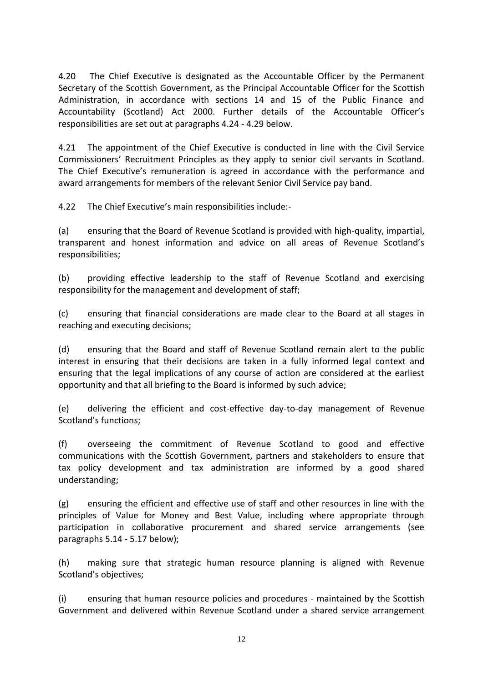4.20 The Chief Executive is designated as the Accountable Officer by the Permanent Secretary of the Scottish Government, as the Principal Accountable Officer for the Scottish Administration, in accordance with sections 14 and 15 of the Public Finance and Accountability (Scotland) Act 2000. Further details of the Accountable Officer's responsibilities are set out at paragraphs 4.24 - 4.29 below.

4.21 The appointment of the Chief Executive is conducted in line with the Civil Service Commissioners' Recruitment Principles as they apply to senior civil servants in Scotland. The Chief Executive's remuneration is agreed in accordance with the performance and award arrangements for members of the relevant Senior Civil Service pay band.

4.22 The Chief Executive's main responsibilities include:-

(a) ensuring that the Board of Revenue Scotland is provided with high-quality, impartial, transparent and honest information and advice on all areas of Revenue Scotland's responsibilities;

(b) providing effective leadership to the staff of Revenue Scotland and exercising responsibility for the management and development of staff;

(c) ensuring that financial considerations are made clear to the Board at all stages in reaching and executing decisions;

(d) ensuring that the Board and staff of Revenue Scotland remain alert to the public interest in ensuring that their decisions are taken in a fully informed legal context and ensuring that the legal implications of any course of action are considered at the earliest opportunity and that all briefing to the Board is informed by such advice;

(e) delivering the efficient and cost-effective day-to-day management of Revenue Scotland's functions;

(f) overseeing the commitment of Revenue Scotland to good and effective communications with the Scottish Government, partners and stakeholders to ensure that tax policy development and tax administration are informed by a good shared understanding;

(g) ensuring the efficient and effective use of staff and other resources in line with the principles of Value for Money and Best Value, including where appropriate through participation in collaborative procurement and shared service arrangements (see paragraphs 5.14 - 5.17 below);

(h) making sure that strategic human resource planning is aligned with Revenue Scotland's objectives;

(i) ensuring that human resource policies and procedures - maintained by the Scottish Government and delivered within Revenue Scotland under a shared service arrangement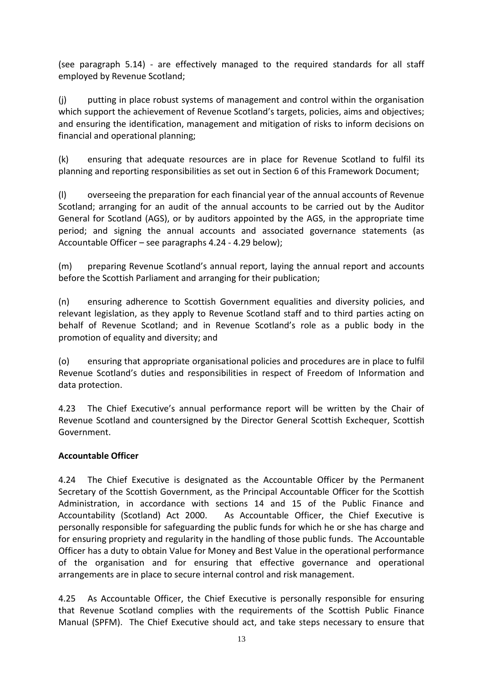(see paragraph 5.14) - are effectively managed to the required standards for all staff employed by Revenue Scotland;

(j) putting in place robust systems of management and control within the organisation which support the achievement of Revenue Scotland's targets, policies, aims and objectives; and ensuring the identification, management and mitigation of risks to inform decisions on financial and operational planning;

(k) ensuring that adequate resources are in place for Revenue Scotland to fulfil its planning and reporting responsibilities as set out in Section 6 of this Framework Document;

(l) overseeing the preparation for each financial year of the annual accounts of Revenue Scotland; arranging for an audit of the annual accounts to be carried out by the Auditor General for Scotland (AGS), or by auditors appointed by the AGS, in the appropriate time period; and signing the annual accounts and associated governance statements (as Accountable Officer – see paragraphs 4.24 - 4.29 below);

(m) preparing Revenue Scotland's annual report, laying the annual report and accounts before the Scottish Parliament and arranging for their publication;

(n) ensuring adherence to Scottish Government equalities and diversity policies, and relevant legislation, as they apply to Revenue Scotland staff and to third parties acting on behalf of Revenue Scotland; and in Revenue Scotland's role as a public body in the promotion of equality and diversity; and

(o) ensuring that appropriate organisational policies and procedures are in place to fulfil Revenue Scotland's duties and responsibilities in respect of Freedom of Information and data protection.

4.23 The Chief Executive's annual performance report will be written by the Chair of Revenue Scotland and countersigned by the Director General Scottish Exchequer, Scottish Government.

#### **Accountable Officer**

4.24 The Chief Executive is designated as the Accountable Officer by the Permanent Secretary of the Scottish Government, as the Principal Accountable Officer for the Scottish Administration, in accordance with sections 14 and 15 of the Public Finance and Accountability (Scotland) Act 2000. As Accountable Officer, the Chief Executive is personally responsible for safeguarding the public funds for which he or she has charge and for ensuring propriety and regularity in the handling of those public funds. The Accountable Officer has a duty to obtain Value for Money and Best Value in the operational performance of the organisation and for ensuring that effective governance and operational arrangements are in place to secure internal control and risk management.

4.25 As Accountable Officer, the Chief Executive is personally responsible for ensuring that Revenue Scotland complies with the requirements of the Scottish Public Finance Manual (SPFM). The Chief Executive should act, and take steps necessary to ensure that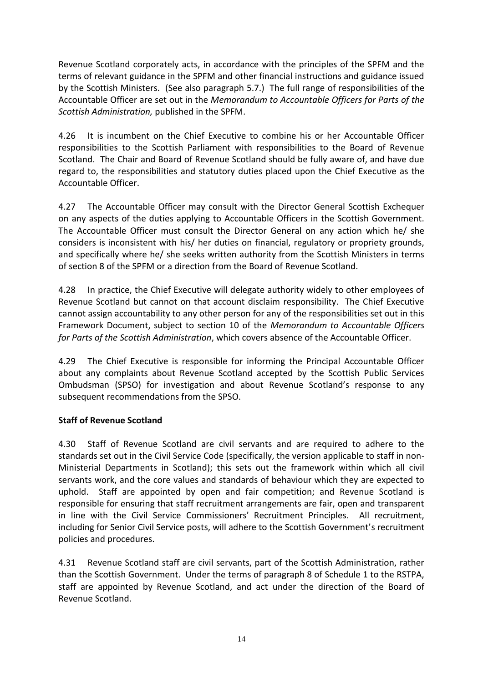Revenue Scotland corporately acts, in accordance with the principles of the SPFM and the terms of relevant guidance in the SPFM and other financial instructions and guidance issued by the Scottish Ministers. (See also paragraph 5.7.) The full range of responsibilities of the Accountable Officer are set out in the *Memorandum to Accountable Officers for Parts of the Scottish Administration,* published in the SPFM.

4.26 It is incumbent on the Chief Executive to combine his or her Accountable Officer responsibilities to the Scottish Parliament with responsibilities to the Board of Revenue Scotland. The Chair and Board of Revenue Scotland should be fully aware of, and have due regard to, the responsibilities and statutory duties placed upon the Chief Executive as the Accountable Officer.

4.27 The Accountable Officer may consult with the Director General Scottish Exchequer on any aspects of the duties applying to Accountable Officers in the Scottish Government. The Accountable Officer must consult the Director General on any action which he/ she considers is inconsistent with his/ her duties on financial, regulatory or propriety grounds, and specifically where he/ she seeks written authority from the Scottish Ministers in terms of section 8 of the SPFM or a direction from the Board of Revenue Scotland.

4.28 In practice, the Chief Executive will delegate authority widely to other employees of Revenue Scotland but cannot on that account disclaim responsibility. The Chief Executive cannot assign accountability to any other person for any of the responsibilities set out in this Framework Document, subject to section 10 of the *Memorandum to Accountable Officers for Parts of the Scottish Administration*, which covers absence of the Accountable Officer.

4.29 The Chief Executive is responsible for informing the Principal Accountable Officer about any complaints about Revenue Scotland accepted by the Scottish Public Services Ombudsman (SPSO) for investigation and about Revenue Scotland's response to any subsequent recommendations from the SPSO.

# **Staff of Revenue Scotland**

4.30 Staff of Revenue Scotland are civil servants and are required to adhere to the standards set out in the Civil Service Code (specifically, the version applicable to staff in non-Ministerial Departments in Scotland); this sets out the framework within which all civil servants work, and the core values and standards of behaviour which they are expected to uphold. Staff are appointed by open and fair competition; and Revenue Scotland is responsible for ensuring that staff recruitment arrangements are fair, open and transparent in line with the Civil Service Commissioners' Recruitment Principles. All recruitment, including for Senior Civil Service posts, will adhere to the Scottish Government's recruitment policies and procedures.

4.31 Revenue Scotland staff are civil servants, part of the Scottish Administration, rather than the Scottish Government. Under the terms of paragraph 8 of Schedule 1 to the RSTPA, staff are appointed by Revenue Scotland, and act under the direction of the Board of Revenue Scotland.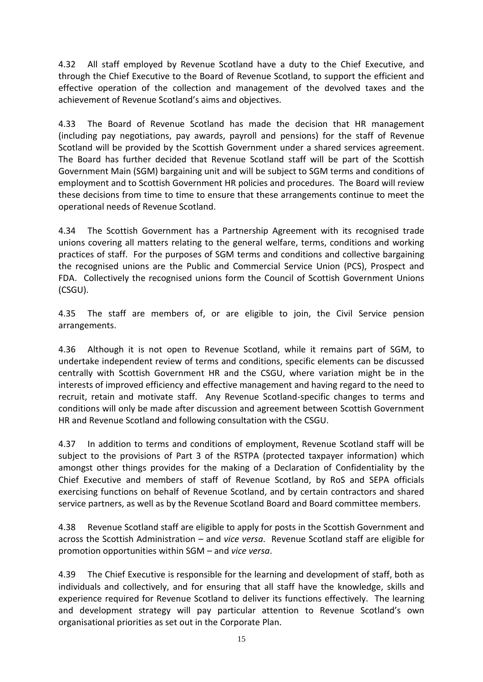4.32 All staff employed by Revenue Scotland have a duty to the Chief Executive, and through the Chief Executive to the Board of Revenue Scotland, to support the efficient and effective operation of the collection and management of the devolved taxes and the achievement of Revenue Scotland's aims and objectives.

4.33 The Board of Revenue Scotland has made the decision that HR management (including pay negotiations, pay awards, payroll and pensions) for the staff of Revenue Scotland will be provided by the Scottish Government under a shared services agreement. The Board has further decided that Revenue Scotland staff will be part of the Scottish Government Main (SGM) bargaining unit and will be subject to SGM terms and conditions of employment and to Scottish Government HR policies and procedures. The Board will review these decisions from time to time to ensure that these arrangements continue to meet the operational needs of Revenue Scotland.

4.34 The Scottish Government has a Partnership Agreement with its recognised trade unions covering all matters relating to the general welfare, terms, conditions and working practices of staff. For the purposes of SGM terms and conditions and collective bargaining the recognised unions are the Public and Commercial Service Union (PCS), Prospect and FDA. Collectively the recognised unions form the Council of Scottish Government Unions (CSGU).

4.35 The staff are members of, or are eligible to join, the Civil Service pension arrangements.

4.36 Although it is not open to Revenue Scotland, while it remains part of SGM, to undertake independent review of terms and conditions, specific elements can be discussed centrally with Scottish Government HR and the CSGU, where variation might be in the interests of improved efficiency and effective management and having regard to the need to recruit, retain and motivate staff. Any Revenue Scotland-specific changes to terms and conditions will only be made after discussion and agreement between Scottish Government HR and Revenue Scotland and following consultation with the CSGU.

4.37 In addition to terms and conditions of employment, Revenue Scotland staff will be subject to the provisions of Part 3 of the RSTPA (protected taxpayer information) which amongst other things provides for the making of a Declaration of Confidentiality by the Chief Executive and members of staff of Revenue Scotland, by RoS and SEPA officials exercising functions on behalf of Revenue Scotland, and by certain contractors and shared service partners, as well as by the Revenue Scotland Board and Board committee members.

4.38 Revenue Scotland staff are eligible to apply for posts in the Scottish Government and across the Scottish Administration – and *vice versa*. Revenue Scotland staff are eligible for promotion opportunities within SGM – and *vice versa*.

4.39 The Chief Executive is responsible for the learning and development of staff, both as individuals and collectively, and for ensuring that all staff have the knowledge, skills and experience required for Revenue Scotland to deliver its functions effectively. The learning and development strategy will pay particular attention to Revenue Scotland's own organisational priorities as set out in the Corporate Plan.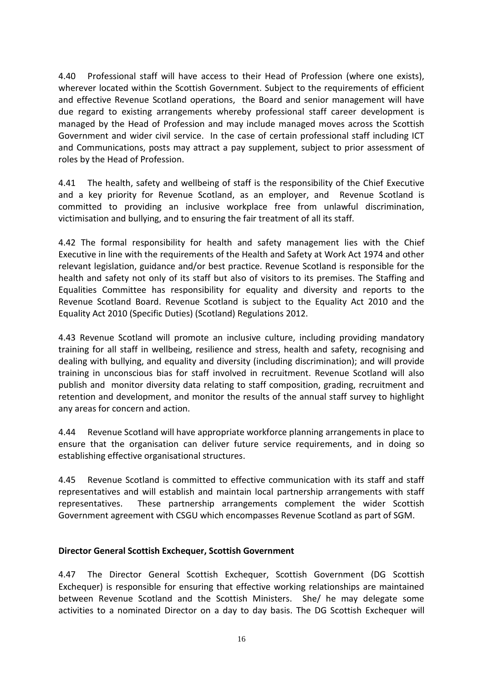4.40 Professional staff will have access to their Head of Profession (where one exists), wherever located within the Scottish Government. Subject to the requirements of efficient and effective Revenue Scotland operations, the Board and senior management will have due regard to existing arrangements whereby professional staff career development is managed by the Head of Profession and may include managed moves across the Scottish Government and wider civil service. In the case of certain professional staff including ICT and Communications, posts may attract a pay supplement, subject to prior assessment of roles by the Head of Profession.

4.41 The health, safety and wellbeing of staff is the responsibility of the Chief Executive and a key priority for Revenue Scotland, as an employer, and Revenue Scotland is committed to providing an inclusive workplace free from unlawful discrimination, victimisation and bullying, and to ensuring the fair treatment of all its staff.

4.42 The formal responsibility for health and safety management lies with the Chief Executive in line with the requirements of the Health and Safety at Work Act 1974 and other relevant legislation, guidance and/or best practice. Revenue Scotland is responsible for the health and safety not only of its staff but also of visitors to its premises. The Staffing and Equalities Committee has responsibility for equality and diversity and reports to the Revenue Scotland Board. Revenue Scotland is subject to the Equality Act 2010 and the Equality Act 2010 (Specific Duties) (Scotland) Regulations 2012.

4.43 Revenue Scotland will promote an inclusive culture, including providing mandatory training for all staff in wellbeing, resilience and stress, health and safety, recognising and dealing with bullying, and equality and diversity (including discrimination); and will provide training in unconscious bias for staff involved in recruitment. Revenue Scotland will also publish and monitor diversity data relating to staff composition, grading, recruitment and retention and development, and monitor the results of the annual staff survey to highlight any areas for concern and action.

4.44 Revenue Scotland will have appropriate workforce planning arrangements in place to ensure that the organisation can deliver future service requirements, and in doing so establishing effective organisational structures.

4.45 Revenue Scotland is committed to effective communication with its staff and staff representatives and will establish and maintain local partnership arrangements with staff representatives. These partnership arrangements complement the wider Scottish Government agreement with CSGU which encompasses Revenue Scotland as part of SGM.

#### **Director General Scottish Exchequer, Scottish Government**

4.47 The Director General Scottish Exchequer, Scottish Government (DG Scottish Exchequer) is responsible for ensuring that effective working relationships are maintained between Revenue Scotland and the Scottish Ministers. She/ he may delegate some activities to a nominated Director on a day to day basis. The DG Scottish Exchequer will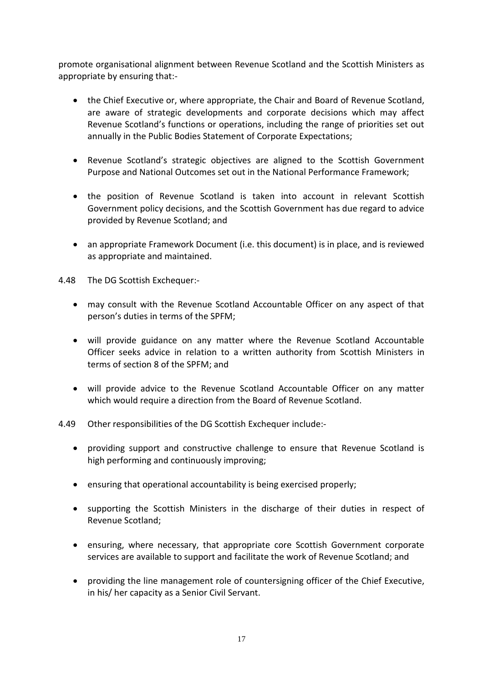promote organisational alignment between Revenue Scotland and the Scottish Ministers as appropriate by ensuring that:-

- the Chief Executive or, where appropriate, the Chair and Board of Revenue Scotland, are aware of strategic developments and corporate decisions which may affect Revenue Scotland's functions or operations, including the range of priorities set out annually in the Public Bodies Statement of Corporate Expectations;
- Revenue Scotland's strategic objectives are aligned to the Scottish Government Purpose and National Outcomes set out in the National Performance Framework;
- the position of Revenue Scotland is taken into account in relevant Scottish Government policy decisions, and the Scottish Government has due regard to advice provided by Revenue Scotland; and
- an appropriate Framework Document (i.e. this document) is in place, and is reviewed as appropriate and maintained.

4.48 The DG Scottish Exchequer:-

- may consult with the Revenue Scotland Accountable Officer on any aspect of that person's duties in terms of the SPFM;
- will provide guidance on any matter where the Revenue Scotland Accountable Officer seeks advice in relation to a written authority from Scottish Ministers in terms of section 8 of the SPFM; and
- will provide advice to the Revenue Scotland Accountable Officer on any matter which would require a direction from the Board of Revenue Scotland.

4.49 Other responsibilities of the DG Scottish Exchequer include:-

- providing support and constructive challenge to ensure that Revenue Scotland is high performing and continuously improving;
- ensuring that operational accountability is being exercised properly;
- supporting the Scottish Ministers in the discharge of their duties in respect of Revenue Scotland;
- ensuring, where necessary, that appropriate core Scottish Government corporate services are available to support and facilitate the work of Revenue Scotland; and
- providing the line management role of countersigning officer of the Chief Executive, in his/ her capacity as a Senior Civil Servant.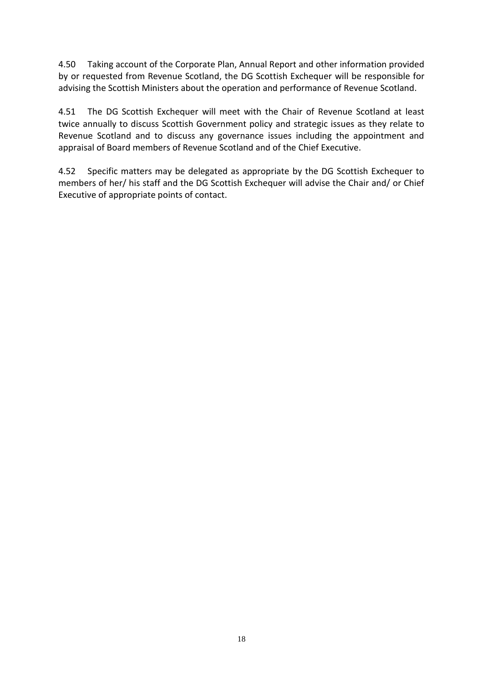4.50 Taking account of the Corporate Plan, Annual Report and other information provided by or requested from Revenue Scotland, the DG Scottish Exchequer will be responsible for advising the Scottish Ministers about the operation and performance of Revenue Scotland.

4.51 The DG Scottish Exchequer will meet with the Chair of Revenue Scotland at least twice annually to discuss Scottish Government policy and strategic issues as they relate to Revenue Scotland and to discuss any governance issues including the appointment and appraisal of Board members of Revenue Scotland and of the Chief Executive.

4.52 Specific matters may be delegated as appropriate by the DG Scottish Exchequer to members of her/ his staff and the DG Scottish Exchequer will advise the Chair and/ or Chief Executive of appropriate points of contact.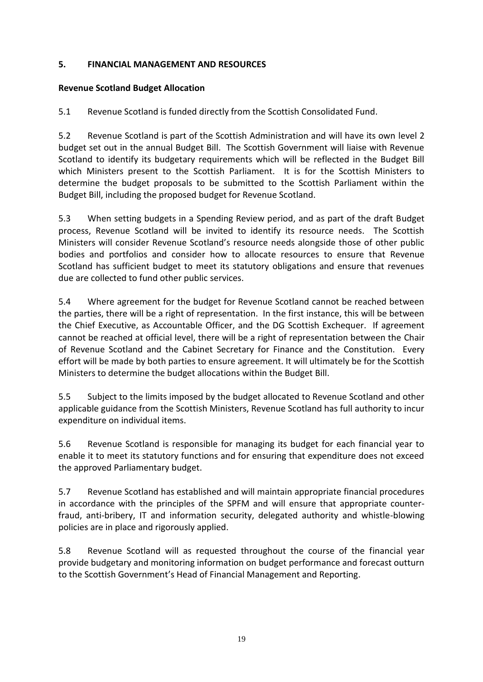## **5. FINANCIAL MANAGEMENT AND RESOURCES**

## **Revenue Scotland Budget Allocation**

5.1 Revenue Scotland is funded directly from the Scottish Consolidated Fund.

5.2 Revenue Scotland is part of the Scottish Administration and will have its own level 2 budget set out in the annual Budget Bill. The Scottish Government will liaise with Revenue Scotland to identify its budgetary requirements which will be reflected in the Budget Bill which Ministers present to the Scottish Parliament. It is for the Scottish Ministers to determine the budget proposals to be submitted to the Scottish Parliament within the Budget Bill, including the proposed budget for Revenue Scotland.

5.3 When setting budgets in a Spending Review period, and as part of the draft Budget process, Revenue Scotland will be invited to identify its resource needs. The Scottish Ministers will consider Revenue Scotland's resource needs alongside those of other public bodies and portfolios and consider how to allocate resources to ensure that Revenue Scotland has sufficient budget to meet its statutory obligations and ensure that revenues due are collected to fund other public services.

5.4 Where agreement for the budget for Revenue Scotland cannot be reached between the parties, there will be a right of representation. In the first instance, this will be between the Chief Executive, as Accountable Officer, and the DG Scottish Exchequer. If agreement cannot be reached at official level, there will be a right of representation between the Chair of Revenue Scotland and the Cabinet Secretary for Finance and the Constitution. Every effort will be made by both parties to ensure agreement. It will ultimately be for the Scottish Ministers to determine the budget allocations within the Budget Bill.

5.5 Subject to the limits imposed by the budget allocated to Revenue Scotland and other applicable guidance from the Scottish Ministers, Revenue Scotland has full authority to incur expenditure on individual items.

5.6 Revenue Scotland is responsible for managing its budget for each financial year to enable it to meet its statutory functions and for ensuring that expenditure does not exceed the approved Parliamentary budget.

5.7 Revenue Scotland has established and will maintain appropriate financial procedures in accordance with the principles of the SPFM and will ensure that appropriate counterfraud, anti-bribery, IT and information security, delegated authority and whistle-blowing policies are in place and rigorously applied.

5.8 Revenue Scotland will as requested throughout the course of the financial year provide budgetary and monitoring information on budget performance and forecast outturn to the Scottish Government's Head of Financial Management and Reporting.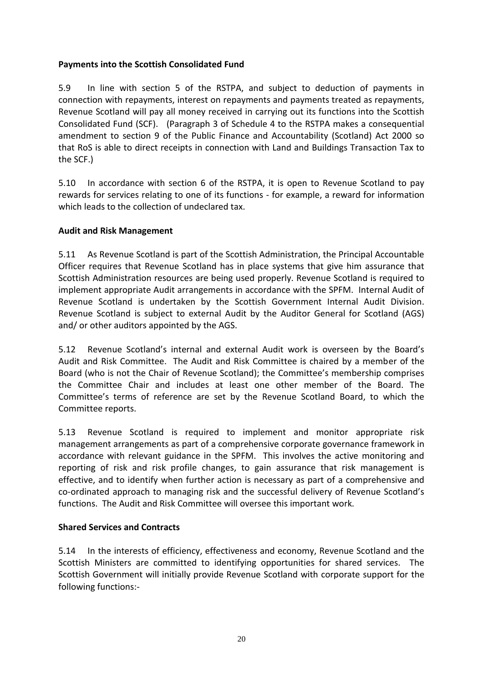## **Payments into the Scottish Consolidated Fund**

5.9 In line with section 5 of the RSTPA, and subject to deduction of payments in connection with repayments, interest on repayments and payments treated as repayments, Revenue Scotland will pay all money received in carrying out its functions into the Scottish Consolidated Fund (SCF). (Paragraph 3 of Schedule 4 to the RSTPA makes a consequential amendment to section 9 of the Public Finance and Accountability (Scotland) Act 2000 so that RoS is able to direct receipts in connection with Land and Buildings Transaction Tax to the SCF.)

5.10 In accordance with section 6 of the RSTPA, it is open to Revenue Scotland to pay rewards for services relating to one of its functions - for example, a reward for information which leads to the collection of undeclared tax.

#### **Audit and Risk Management**

5.11 As Revenue Scotland is part of the Scottish Administration, the Principal Accountable Officer requires that Revenue Scotland has in place systems that give him assurance that Scottish Administration resources are being used properly. Revenue Scotland is required to implement appropriate Audit arrangements in accordance with the SPFM. Internal Audit of Revenue Scotland is undertaken by the Scottish Government Internal Audit Division. Revenue Scotland is subject to external Audit by the Auditor General for Scotland (AGS) and/ or other auditors appointed by the AGS.

5.12 Revenue Scotland's internal and external Audit work is overseen by the Board's Audit and Risk Committee. The Audit and Risk Committee is chaired by a member of the Board (who is not the Chair of Revenue Scotland); the Committee's membership comprises the Committee Chair and includes at least one other member of the Board. The Committee's terms of reference are set by the Revenue Scotland Board, to which the Committee reports.

5.13 Revenue Scotland is required to implement and monitor appropriate risk management arrangements as part of a comprehensive corporate governance framework in accordance with relevant guidance in the SPFM. This involves the active monitoring and reporting of risk and risk profile changes, to gain assurance that risk management is effective, and to identify when further action is necessary as part of a comprehensive and co-ordinated approach to managing risk and the successful delivery of Revenue Scotland's functions. The Audit and Risk Committee will oversee this important work.

#### **Shared Services and Contracts**

5.14 In the interests of efficiency, effectiveness and economy, Revenue Scotland and the Scottish Ministers are committed to identifying opportunities for shared services. The Scottish Government will initially provide Revenue Scotland with corporate support for the following functions:-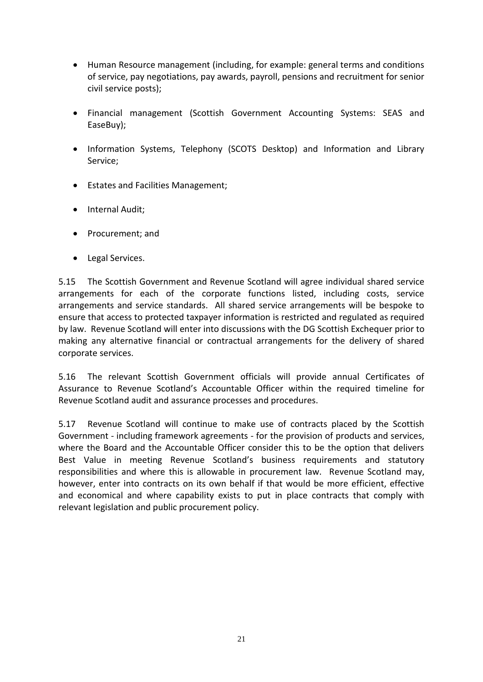- Human Resource management (including, for example: general terms and conditions of service, pay negotiations, pay awards, payroll, pensions and recruitment for senior civil service posts);
- Financial management (Scottish Government Accounting Systems: SEAS and EaseBuy);
- Information Systems, Telephony (SCOTS Desktop) and Information and Library Service;
- Estates and Facilities Management;
- Internal Audit:
- Procurement; and
- Legal Services.

5.15 The Scottish Government and Revenue Scotland will agree individual shared service arrangements for each of the corporate functions listed, including costs, service arrangements and service standards. All shared service arrangements will be bespoke to ensure that access to protected taxpayer information is restricted and regulated as required by law. Revenue Scotland will enter into discussions with the DG Scottish Exchequer prior to making any alternative financial or contractual arrangements for the delivery of shared corporate services.

5.16 The relevant Scottish Government officials will provide annual Certificates of Assurance to Revenue Scotland's Accountable Officer within the required timeline for Revenue Scotland audit and assurance processes and procedures.

5.17 Revenue Scotland will continue to make use of contracts placed by the Scottish Government - including framework agreements - for the provision of products and services, where the Board and the Accountable Officer consider this to be the option that delivers Best Value in meeting Revenue Scotland's business requirements and statutory responsibilities and where this is allowable in procurement law. Revenue Scotland may, however, enter into contracts on its own behalf if that would be more efficient, effective and economical and where capability exists to put in place contracts that comply with relevant legislation and public procurement policy.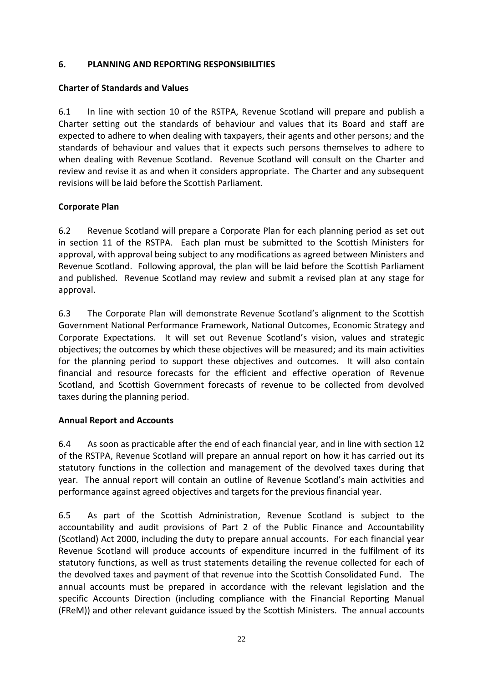#### **6. PLANNING AND REPORTING RESPONSIBILITIES**

#### **Charter of Standards and Values**

6.1 In line with section 10 of the RSTPA, Revenue Scotland will prepare and publish a Charter setting out the standards of behaviour and values that its Board and staff are expected to adhere to when dealing with taxpayers, their agents and other persons; and the standards of behaviour and values that it expects such persons themselves to adhere to when dealing with Revenue Scotland. Revenue Scotland will consult on the Charter and review and revise it as and when it considers appropriate. The Charter and any subsequent revisions will be laid before the Scottish Parliament.

#### **Corporate Plan**

6.2 Revenue Scotland will prepare a Corporate Plan for each planning period as set out in section 11 of the RSTPA. Each plan must be submitted to the Scottish Ministers for approval, with approval being subject to any modifications as agreed between Ministers and Revenue Scotland. Following approval, the plan will be laid before the Scottish Parliament and published. Revenue Scotland may review and submit a revised plan at any stage for approval.

6.3 The Corporate Plan will demonstrate Revenue Scotland's alignment to the Scottish Government National Performance Framework, National Outcomes, Economic Strategy and Corporate Expectations. It will set out Revenue Scotland's vision, values and strategic objectives; the outcomes by which these objectives will be measured; and its main activities for the planning period to support these objectives and outcomes. It will also contain financial and resource forecasts for the efficient and effective operation of Revenue Scotland, and Scottish Government forecasts of revenue to be collected from devolved taxes during the planning period.

#### **Annual Report and Accounts**

6.4 As soon as practicable after the end of each financial year, and in line with section 12 of the RSTPA, Revenue Scotland will prepare an annual report on how it has carried out its statutory functions in the collection and management of the devolved taxes during that year. The annual report will contain an outline of Revenue Scotland's main activities and performance against agreed objectives and targets for the previous financial year.

6.5 As part of the Scottish Administration, Revenue Scotland is subject to the accountability and audit provisions of Part 2 of the Public Finance and Accountability (Scotland) Act 2000, including the duty to prepare annual accounts. For each financial year Revenue Scotland will produce accounts of expenditure incurred in the fulfilment of its statutory functions, as well as trust statements detailing the revenue collected for each of the devolved taxes and payment of that revenue into the Scottish Consolidated Fund. The annual accounts must be prepared in accordance with the relevant legislation and the specific Accounts Direction (including compliance with the Financial Reporting Manual (FReM)) and other relevant guidance issued by the Scottish Ministers. The annual accounts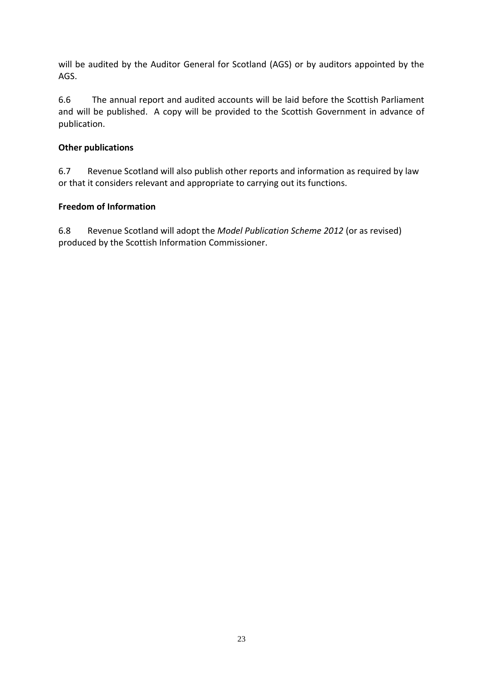will be audited by the Auditor General for Scotland (AGS) or by auditors appointed by the AGS.

6.6 The annual report and audited accounts will be laid before the Scottish Parliament and will be published. A copy will be provided to the Scottish Government in advance of publication.

#### **Other publications**

6.7 Revenue Scotland will also publish other reports and information as required by law or that it considers relevant and appropriate to carrying out its functions.

#### **Freedom of Information**

6.8 Revenue Scotland will adopt the *Model Publication Scheme 2012* (or as revised) produced by the Scottish Information Commissioner.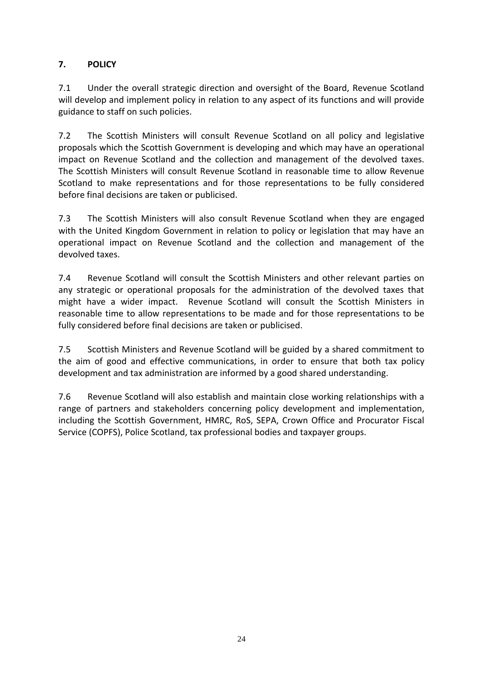# **7. POLICY**

7.1 Under the overall strategic direction and oversight of the Board, Revenue Scotland will develop and implement policy in relation to any aspect of its functions and will provide guidance to staff on such policies.

7.2 The Scottish Ministers will consult Revenue Scotland on all policy and legislative proposals which the Scottish Government is developing and which may have an operational impact on Revenue Scotland and the collection and management of the devolved taxes. The Scottish Ministers will consult Revenue Scotland in reasonable time to allow Revenue Scotland to make representations and for those representations to be fully considered before final decisions are taken or publicised.

7.3 The Scottish Ministers will also consult Revenue Scotland when they are engaged with the United Kingdom Government in relation to policy or legislation that may have an operational impact on Revenue Scotland and the collection and management of the devolved taxes.

7.4 Revenue Scotland will consult the Scottish Ministers and other relevant parties on any strategic or operational proposals for the administration of the devolved taxes that might have a wider impact. Revenue Scotland will consult the Scottish Ministers in reasonable time to allow representations to be made and for those representations to be fully considered before final decisions are taken or publicised.

7.5 Scottish Ministers and Revenue Scotland will be guided by a shared commitment to the aim of good and effective communications, in order to ensure that both tax policy development and tax administration are informed by a good shared understanding.

7.6 Revenue Scotland will also establish and maintain close working relationships with a range of partners and stakeholders concerning policy development and implementation, including the Scottish Government, HMRC, RoS, SEPA, Crown Office and Procurator Fiscal Service (COPFS), Police Scotland, tax professional bodies and taxpayer groups.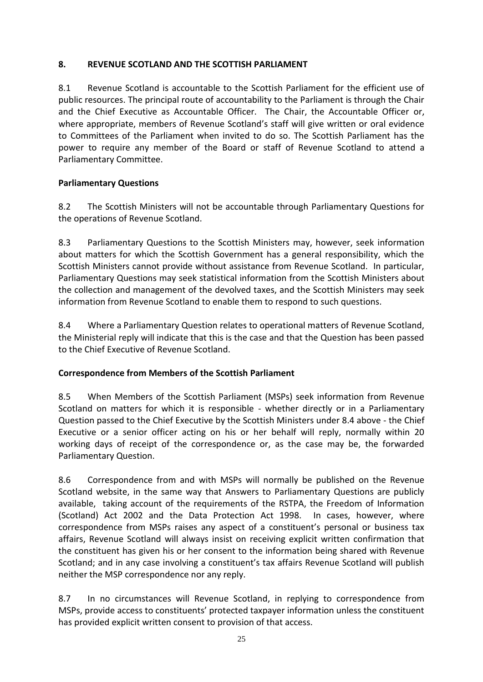## **8. REVENUE SCOTLAND AND THE SCOTTISH PARLIAMENT**

8.1 Revenue Scotland is accountable to the Scottish Parliament for the efficient use of public resources. The principal route of accountability to the Parliament is through the Chair and the Chief Executive as Accountable Officer. The Chair, the Accountable Officer or, where appropriate, members of Revenue Scotland's staff will give written or oral evidence to Committees of the Parliament when invited to do so. The Scottish Parliament has the power to require any member of the Board or staff of Revenue Scotland to attend a Parliamentary Committee.

# **Parliamentary Questions**

8.2 The Scottish Ministers will not be accountable through Parliamentary Questions for the operations of Revenue Scotland.

8.3 Parliamentary Questions to the Scottish Ministers may, however, seek information about matters for which the Scottish Government has a general responsibility, which the Scottish Ministers cannot provide without assistance from Revenue Scotland. In particular, Parliamentary Questions may seek statistical information from the Scottish Ministers about the collection and management of the devolved taxes, and the Scottish Ministers may seek information from Revenue Scotland to enable them to respond to such questions.

8.4 Where a Parliamentary Question relates to operational matters of Revenue Scotland, the Ministerial reply will indicate that this is the case and that the Question has been passed to the Chief Executive of Revenue Scotland.

# **Correspondence from Members of the Scottish Parliament**

8.5 When Members of the Scottish Parliament (MSPs) seek information from Revenue Scotland on matters for which it is responsible - whether directly or in a Parliamentary Question passed to the Chief Executive by the Scottish Ministers under 8.4 above - the Chief Executive or a senior officer acting on his or her behalf will reply, normally within 20 working days of receipt of the correspondence or, as the case may be, the forwarded Parliamentary Question.

8.6 Correspondence from and with MSPs will normally be published on the Revenue Scotland website, in the same way that Answers to Parliamentary Questions are publicly available, taking account of the requirements of the RSTPA, the Freedom of Information (Scotland) Act 2002 and the Data Protection Act 1998. In cases, however, where correspondence from MSPs raises any aspect of a constituent's personal or business tax affairs, Revenue Scotland will always insist on receiving explicit written confirmation that the constituent has given his or her consent to the information being shared with Revenue Scotland; and in any case involving a constituent's tax affairs Revenue Scotland will publish neither the MSP correspondence nor any reply.

8.7 In no circumstances will Revenue Scotland, in replying to correspondence from MSPs, provide access to constituents' protected taxpayer information unless the constituent has provided explicit written consent to provision of that access.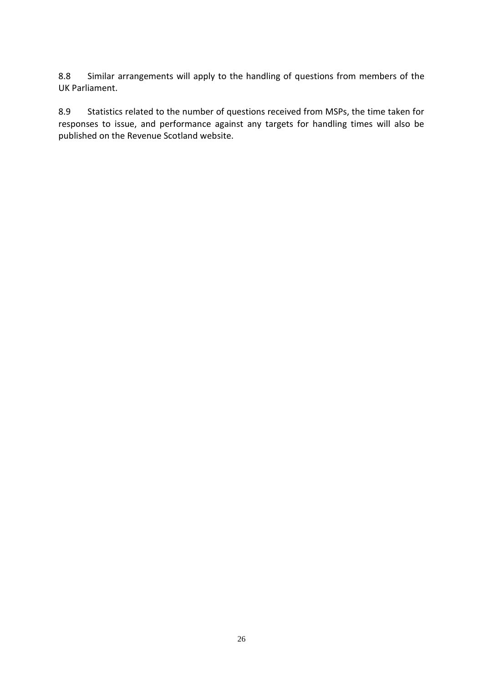8.8 Similar arrangements will apply to the handling of questions from members of the UK Parliament.

8.9 Statistics related to the number of questions received from MSPs, the time taken for responses to issue, and performance against any targets for handling times will also be published on the Revenue Scotland website.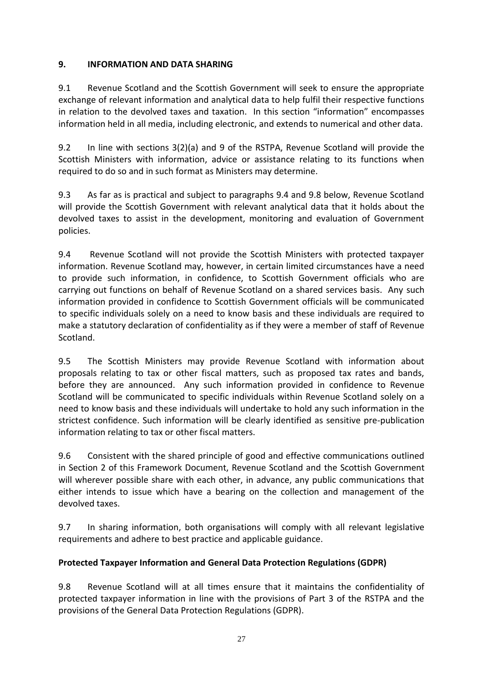## **9. INFORMATION AND DATA SHARING**

9.1 Revenue Scotland and the Scottish Government will seek to ensure the appropriate exchange of relevant information and analytical data to help fulfil their respective functions in relation to the devolved taxes and taxation. In this section "information" encompasses information held in all media, including electronic, and extends to numerical and other data.

9.2 In line with sections 3(2)(a) and 9 of the RSTPA, Revenue Scotland will provide the Scottish Ministers with information, advice or assistance relating to its functions when required to do so and in such format as Ministers may determine.

9.3 As far as is practical and subject to paragraphs 9.4 and 9.8 below, Revenue Scotland will provide the Scottish Government with relevant analytical data that it holds about the devolved taxes to assist in the development, monitoring and evaluation of Government policies.

9.4 Revenue Scotland will not provide the Scottish Ministers with protected taxpayer information. Revenue Scotland may, however, in certain limited circumstances have a need to provide such information, in confidence, to Scottish Government officials who are carrying out functions on behalf of Revenue Scotland on a shared services basis. Any such information provided in confidence to Scottish Government officials will be communicated to specific individuals solely on a need to know basis and these individuals are required to make a statutory declaration of confidentiality as if they were a member of staff of Revenue Scotland.

9.5 The Scottish Ministers may provide Revenue Scotland with information about proposals relating to tax or other fiscal matters, such as proposed tax rates and bands, before they are announced. Any such information provided in confidence to Revenue Scotland will be communicated to specific individuals within Revenue Scotland solely on a need to know basis and these individuals will undertake to hold any such information in the strictest confidence. Such information will be clearly identified as sensitive pre-publication information relating to tax or other fiscal matters.

9.6 Consistent with the shared principle of good and effective communications outlined in Section 2 of this Framework Document, Revenue Scotland and the Scottish Government will wherever possible share with each other, in advance, any public communications that either intends to issue which have a bearing on the collection and management of the devolved taxes.

9.7 In sharing information, both organisations will comply with all relevant legislative requirements and adhere to best practice and applicable guidance.

# **Protected Taxpayer Information and General Data Protection Regulations (GDPR)**

9.8 Revenue Scotland will at all times ensure that it maintains the confidentiality of protected taxpayer information in line with the provisions of Part 3 of the RSTPA and the provisions of the General Data Protection Regulations (GDPR).